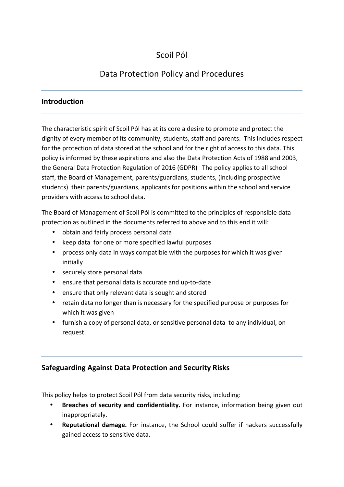# Scoil Pól

# Data Protection Policy and Procedures

# **Introduction**

The characteristic spirit of Scoil Pól has at its core a desire to promote and protect the dignity of every member of its community, students, staff and parents. This includes respect for the protection of data stored at the school and for the right of access to this data. This policy is informed by these aspirations and also the Data Protection Acts of 1988 and 2003, the General Data Protection Regulation of 2016 (GDPR) The policy applies to all school staff, the Board of Management, parents/guardians, students, (including prospective students) their parents/guardians, applicants for positions within the school and service providers with access to school data.

The Board of Management of Scoil Pól is committed to the principles of responsible data protection as outlined in the documents referred to above and to this end it will:

- obtain and fairly process personal data
- keep data for one or more specified lawful purposes
- process only data in ways compatible with the purposes for which it was given initially
- securely store personal data
- ensure that personal data is accurate and up-to-date
- ensure that only relevant data is sought and stored
- retain data no longer than is necessary for the specified purpose or purposes for which it was given
- furnish a copy of personal data, or sensitive personal data to any individual, on request

# **Safeguarding Against Data Protection and Security Risks**

This policy helps to protect Scoil Pól from data security risks, including:

- **Breaches of security and confidentiality.** For instance, information being given out inappropriately.
- **Reputational damage.** For instance, the School could suffer if hackers successfully gained access to sensitive data.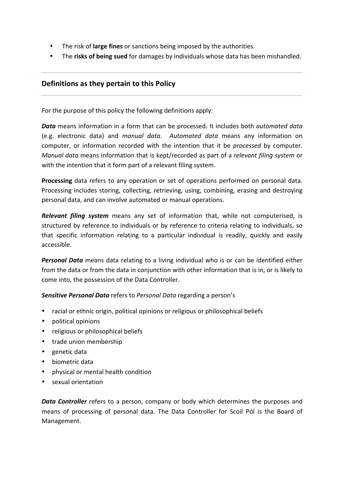- The risk of **large fines** or sanctions being imposed by the authorities.
- The **risks of being sued** for damages by individuals whose data has been mishandled.

# **Definitions as they pertain to this Policy**

For the purpose of this policy the following definitions apply:

*Data* means information in a form that can be processed. It includes both *automated data* (e.g. electronic data) and *manual data*. Automated data means any information on computer, or information recorded with the intention that it be *processed* by computer. *Manual data* means information that is kept/recorded as part of a relevant filing system or with the intention that it form part of a relevant filing system.

**Processing** data refers to any operation or set of operations performed on personal data. Processing includes storing, collecting, retrieving, using, combining, erasing and destroying personal data, and can involve automated or manual operations.

**Relevant filing system** means any set of information that, while not computerised, is structured by reference to individuals or by reference to criteria relating to individuals, so that specific information relating to a particular individual is readily, quickly and easily accessible.

**Personal Data** means data relating to a living individual who is or can be identified either from the data or from the data in conjunction with other information that is in, or is likely to come into, the possession of the Data Controller.

**Sensitive Personal Data** refers to Personal Data regarding a person's

- racial or ethnic origin, political opinions or religious or philosophical beliefs
- political opinions
- religious or philosophical beliefs
- trade union membership
- genetic data
- biometric data
- physical or mental health condition
- sexual orientation

**Data Controller** refers to a person, company or body which determines the purposes and means of processing of personal data. The Data Controller for Scoil Pól is the Board of Management.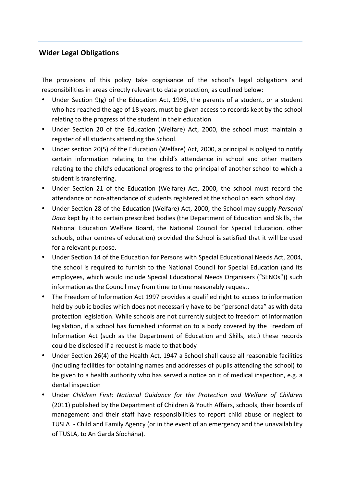# **Wider Legal Obligations**

The provisions of this policy take cognisance of the school's legal obligations and responsibilities in areas directly relevant to data protection, as outlined below:

- Under Section 9(g) of the Education Act, 1998, the parents of a student, or a student who has reached the age of 18 years, must be given access to records kept by the school relating to the progress of the student in their education
- Under Section 20 of the Education (Welfare) Act, 2000, the school must maintain a register of all students attending the School.
- Under section 20(5) of the Education (Welfare) Act, 2000, a principal is obliged to notify certain information relating to the child's attendance in school and other matters relating to the child's educational progress to the principal of another school to which a student is transferring.
- Under Section 21 of the Education (Welfare) Act, 2000, the school must record the attendance or non-attendance of students registered at the school on each school day.
- Under Section 28 of the Education (Welfare) Act, 2000, the School may supply *Personal Data* kept by it to certain prescribed bodies (the Department of Education and Skills, the National Education Welfare Board, the National Council for Special Education, other schools, other centres of education) provided the School is satisfied that it will be used for a relevant purpose.
- Under Section 14 of the Education for Persons with Special Educational Needs Act, 2004, the school is required to furnish to the National Council for Special Education (and its employees, which would include Special Educational Needs Organisers ("SENOs")) such information as the Council may from time to time reasonably request.
- The Freedom of Information Act 1997 provides a qualified right to access to information held by public bodies which does not necessarily have to be "personal data" as with data protection legislation. While schools are not currently subject to freedom of information legislation, if a school has furnished information to a body covered by the Freedom of Information Act (such as the Department of Education and Skills, etc.) these records could be disclosed if a request is made to that body
- Under Section 26(4) of the Health Act, 1947 a School shall cause all reasonable facilities (including facilities for obtaining names and addresses of pupils attending the school) to be given to a health authority who has served a notice on it of medical inspection, e.g. a dental inspection
- Under Children First: National Guidance for the Protection and Welfare of Children (2011) published by the Department of Children & Youth Affairs, schools, their boards of management and their staff have responsibilities to report child abuse or neglect to TUSLA - Child and Family Agency (or in the event of an emergency and the unavailability of TUSLA, to An Garda Síochána).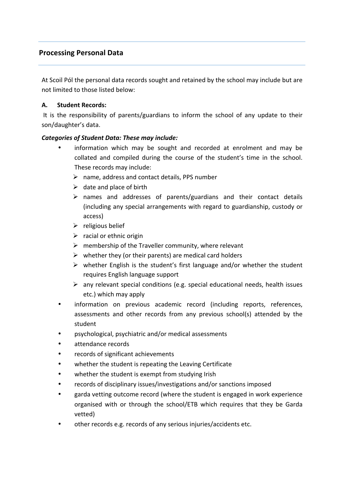# **Processing Personal Data**

At Scoil Pól the personal data records sought and retained by the school may include but are not limited to those listed below:

## **A.** Student Records:

It is the responsibility of parents/guardians to inform the school of any update to their son/daughter's data.

## *Categories of Student Data: These may include:*

- information which may be sought and recorded at enrolment and may be collated and compiled during the course of the student's time in the school. These records may include:
	- $\triangleright$  name, address and contact details, PPS number
	- $\triangleright$  date and place of birth
	- $\triangleright$  names and addresses of parents/guardians and their contact details (including any special arrangements with regard to guardianship, custody or access)
	- $\triangleright$  religious belief
	- $\triangleright$  racial or ethnic origin
	- $\triangleright$  membership of the Traveller community, where relevant
	- $\triangleright$  whether they (or their parents) are medical card holders
	- $\triangleright$  whether English is the student's first language and/or whether the student requires English language support
	- $\triangleright$  any relevant special conditions (e.g. special educational needs, health issues etc.) which may apply
- information on previous academic record (including reports, references, assessments and other records from any previous school(s) attended by the student
- psychological, psychiatric and/or medical assessments
- attendance records
- records of significant achievements
- whether the student is repeating the Leaving Certificate
- whether the student is exempt from studying Irish
- records of disciplinary issues/investigations and/or sanctions imposed
- garda vetting outcome record (where the student is engaged in work experience organised with or through the school/ETB which requires that they be Garda vetted)
- other records e.g. records of any serious injuries/accidents etc.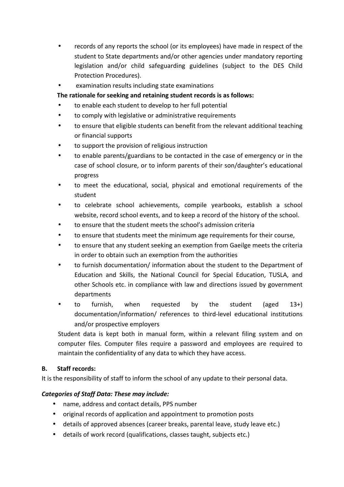- records of any reports the school (or its employees) have made in respect of the student to State departments and/or other agencies under mandatory reporting legislation and/or child safeguarding guidelines (subject to the DES Child Protection Procedures).
- examination results including state examinations

# The rationale for seeking and retaining student records is as follows:

- to enable each student to develop to her full potential
- to comply with legislative or administrative requirements
- to ensure that eligible students can benefit from the relevant additional teaching or financial supports
- to support the provision of religious instruction
- to enable parents/guardians to be contacted in the case of emergency or in the case of school closure, or to inform parents of their son/daughter's educational progress
- to meet the educational, social, physical and emotional requirements of the student
- to celebrate school achievements, compile yearbooks, establish a school website, record school events, and to keep a record of the history of the school.
- to ensure that the student meets the school's admission criteria
- to ensure that students meet the minimum age requirements for their course,
- to ensure that any student seeking an exemption from Gaeilge meets the criteria in order to obtain such an exemption from the authorities
- to furnish documentation/ information about the student to the Department of Education and Skills, the National Council for Special Education, TUSLA, and other Schools etc. in compliance with law and directions issued by government departments
- to furnish, when requested by the student (aged  $13+$ ) documentation/information/ references to third-level educational institutions and/or prospective employers

Student data is kept both in manual form, within a relevant filing system and on computer files. Computer files require a password and employees are required to maintain the confidentiality of any data to which they have access.

# **B.** Staff records:

It is the responsibility of staff to inform the school of any update to their personal data.

# **Categories of Staff Data: These may include:**

- name, address and contact details, PPS number
- original records of application and appointment to promotion posts
- details of approved absences (career breaks, parental leave, study leave etc.)
- details of work record (qualifications, classes taught, subjects etc.)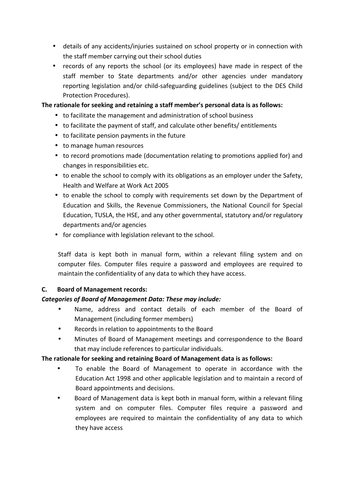- details of any accidents/injuries sustained on school property or in connection with the staff member carrying out their school duties
- records of any reports the school (or its employees) have made in respect of the staff member to State departments and/or other agencies under mandatory reporting legislation and/or child-safeguarding guidelines (subject to the DES Child Protection Procedures).

## The rationale for seeking and retaining a staff member's personal data is as follows:

- to facilitate the management and administration of school business
- to facilitate the payment of staff, and calculate other benefits/ entitlements
- to facilitate pension payments in the future
- to manage human resources
- to record promotions made (documentation relating to promotions applied for) and changes in responsibilities etc.
- to enable the school to comply with its obligations as an employer under the Safety, Health and Welfare at Work Act 2005
- to enable the school to comply with requirements set down by the Department of Education and Skills, the Revenue Commissioners, the National Council for Special Education, TUSLA, the HSE, and any other governmental, statutory and/or regulatory departments and/or agencies
- for compliance with legislation relevant to the school.

Staff data is kept both in manual form, within a relevant filing system and on computer files. Computer files require a password and employees are required to maintain the confidentiality of any data to which they have access.

## **C.** Board of Management records:

## Categories of Board of Management Data: These may include:

- Name, address and contact details of each member of the Board of Management (including former members)
- Records in relation to appointments to the Board
- Minutes of Board of Management meetings and correspondence to the Board that may include references to particular individuals.

## The rationale for seeking and retaining Board of Management data is as follows:

- To enable the Board of Management to operate in accordance with the Education Act 1998 and other applicable legislation and to maintain a record of Board appointments and decisions.
- Board of Management data is kept both in manual form, within a relevant filing system and on computer files. Computer files require a password and employees are required to maintain the confidentiality of any data to which they have access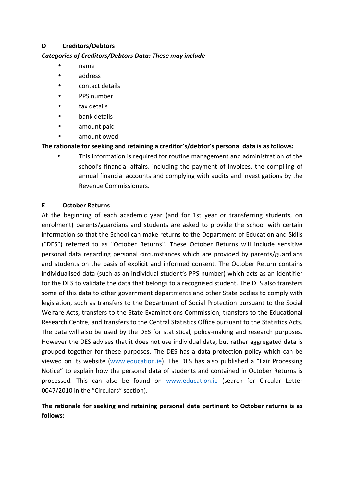## **D Creditors/Debtors**

## Categories of Creditors/Debtors Data: These may include

- name
- address
- contact details
- PPS number
- tax details
- bank details
- amount paid
- amount owed

## The rationale for seeking and retaining a creditor's/debtor's personal data is as follows:

• This information is required for routine management and administration of the school's financial affairs, including the payment of invoices, the compiling of annual financial accounts and complying with audits and investigations by the Revenue Commissioners.

## **E October Returns**

At the beginning of each academic year (and for 1st year or transferring students, on enrolment) parents/guardians and students are asked to provide the school with certain information so that the School can make returns to the Department of Education and Skills ("DES") referred to as "October Returns". These October Returns will include sensitive personal data regarding personal circumstances which are provided by parents/guardians and students on the basis of explicit and informed consent. The October Return contains individualised data (such as an individual student's PPS number) which acts as an identifier for the DES to validate the data that belongs to a recognised student. The DES also transfers some of this data to other government departments and other State bodies to comply with legislation, such as transfers to the Department of Social Protection pursuant to the Social Welfare Acts, transfers to the State Examinations Commission, transfers to the Educational Research Centre, and transfers to the Central Statistics Office pursuant to the Statistics Acts. The data will also be used by the DES for statistical, policy-making and research purposes. However the DES advises that it does not use individual data, but rather aggregated data is grouped together for these purposes. The DES has a data protection policy which can be viewed on its website (www.education.ie). The DES has also published a "Fair Processing Notice" to explain how the personal data of students and contained in October Returns is processed. This can also be found on www.education.ie (search for Circular Letter 0047/2010 in the "Circulars" section).

# The rationale for seeking and retaining personal data pertinent to October returns is as **follows:**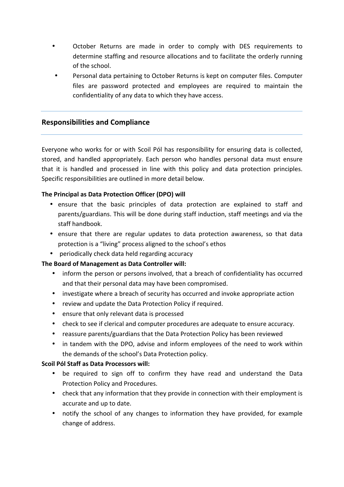- October Returns are made in order to comply with DES requirements to determine staffing and resource allocations and to facilitate the orderly running of the school.
- Personal data pertaining to October Returns is kept on computer files. Computer files are password protected and employees are required to maintain the confidentiality of any data to which they have access.

## **Responsibilities and Compliance**

Everyone who works for or with Scoil Pól has responsibility for ensuring data is collected, stored, and handled appropriately. Each person who handles personal data must ensure that it is handled and processed in line with this policy and data protection principles. Specific responsibilities are outlined in more detail below.

## **The Principal as Data Protection Officer (DPO) will**

- ensure that the basic principles of data protection are explained to staff and parents/guardians. This will be done during staff induction, staff meetings and via the staff handbook.
- ensure that there are regular updates to data protection awareness, so that data protection is a "living" process aligned to the school's ethos
- periodically check data held regarding accuracy

#### **The Board of Management as Data Controller will:**

- inform the person or persons involved, that a breach of confidentiality has occurred and that their personal data may have been compromised.
- investigate where a breach of security has occurred and invoke appropriate action
- review and update the Data Protection Policy if required.
- ensure that only relevant data is processed
- check to see if clerical and computer procedures are adequate to ensure accuracy.
- reassure parents/guardians that the Data Protection Policy has been reviewed
- in tandem with the DPO, advise and inform employees of the need to work within the demands of the school's Data Protection policy.

#### **Scoil Pól Staff as Data Processors will:**

- be required to sign off to confirm they have read and understand the Data Protection Policy and Procedures.
- check that any information that they provide in connection with their employment is accurate and up to date.
- notify the school of any changes to information they have provided, for example change of address.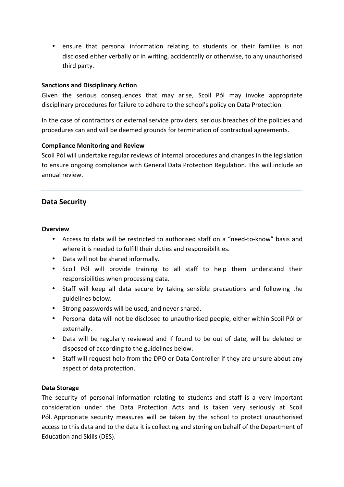• ensure that personal information relating to students or their families is not disclosed either verbally or in writing, accidentally or otherwise, to any unauthorised third party.

## **Sanctions and Disciplinary Action**

Given the serious consequences that may arise, Scoil Pól may invoke appropriate disciplinary procedures for failure to adhere to the school's policy on Data Protection

In the case of contractors or external service providers, serious breaches of the policies and procedures can and will be deemed grounds for termination of contractual agreements.

## **Compliance Monitoring and Review**

Scoil Pól will undertake regular reviews of internal procedures and changes in the legislation to ensure ongoing compliance with General Data Protection Regulation. This will include an annual review.

## **Data Security**

#### **Overview**

- Access to data will be restricted to authorised staff on a "need-to-know" basis and where it is needed to fulfill their duties and responsibilities.
- Data will not be shared informally.
- Scoil Pól will provide training to all staff to help them understand their responsibilities when processing data.
- Staff will keep all data secure by taking sensible precautions and following the guidelines below.
- Strong passwords will be used, and never shared.
- Personal data will not be disclosed to unauthorised people, either within Scoil Pól or externally.
- Data will be regularly reviewed and if found to be out of date, will be deleted or disposed of according to the guidelines below.
- Staff will request help from the DPO or Data Controller if they are unsure about any aspect of data protection.

#### **Data Storage**

The security of personal information relating to students and staff is a very important consideration under the Data Protection Acts and is taken very seriously at Scoil Pól. Appropriate security measures will be taken by the school to protect unauthorised access to this data and to the data it is collecting and storing on behalf of the Department of Education and Skills (DES).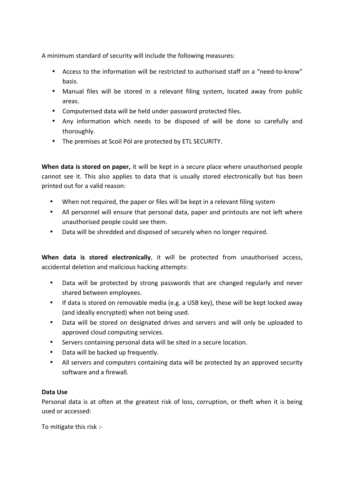A minimum standard of security will include the following measures:

- Access to the information will be restricted to authorised staff on a "need-to-know" basis.
- Manual files will be stored in a relevant filing system, located away from public areas.
- Computerised data will be held under password protected files.
- Any information which needs to be disposed of will be done so carefully and thoroughly.
- The premises at Scoil Pól are protected by ETL SECURITY.

**When data is stored on paper,** it will be kept in a secure place where unauthorised people cannot see it. This also applies to data that is usually stored electronically but has been printed out for a valid reason:

- When not required, the paper or files will be kept in a relevant filing system
- All personnel will ensure that personal data, paper and printouts are not left where unauthorised people could see them.
- Data will be shredded and disposed of securely when no longer required.

**When data is stored electronically**, it will be protected from unauthorised access, accidental deletion and malicious hacking attempts:

- Data will be protected by strong passwords that are changed regularly and never shared between employees.
- If data is stored on removable media (e.g. a USB key), these will be kept locked away (and ideally encrypted) when not being used.
- Data will be stored on designated drives and servers and will only be uploaded to approved cloud computing services.
- Servers containing personal data will be sited in a secure location.
- Data will be backed up frequently.
- All servers and computers containing data will be protected by an approved security software and a firewall.

## **Data Use**

Personal data is at often at the greatest risk of loss, corruption, or theft when it is being used or accessed:

To mitigate this risk :-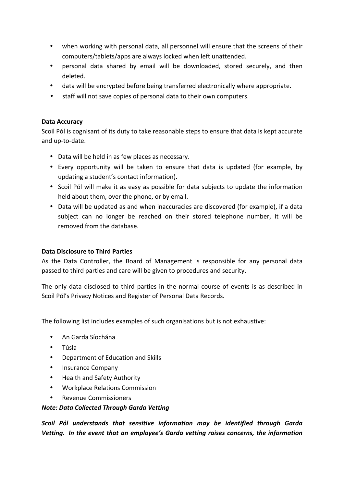- when working with personal data, all personnel will ensure that the screens of their computers/tablets/apps are always locked when left unattended.
- personal data shared by email will be downloaded, stored securely, and then deleted.
- data will be encrypted before being transferred electronically where appropriate.
- staff will not save copies of personal data to their own computers.

## **Data Accuracy**

Scoil Pól is cognisant of its duty to take reasonable steps to ensure that data is kept accurate and up-to-date.

- Data will be held in as few places as necessary.
- Every opportunity will be taken to ensure that data is updated (for example, by updating a student's contact information).
- Scoil Pól will make it as easy as possible for data subjects to update the information held about them, over the phone, or by email.
- Data will be updated as and when inaccuracies are discovered (for example), if a data subject can no longer be reached on their stored telephone number, it will be removed from the database.

## **Data Disclosure to Third Parties**

As the Data Controller, the Board of Management is responsible for any personal data passed to third parties and care will be given to procedures and security.

The only data disclosed to third parties in the normal course of events is as described in Scoil Pól's Privacy Notices and Register of Personal Data Records.

The following list includes examples of such organisations but is not exhaustive:

- An Garda Síochána
- Túsla
- **Department of Education and Skills**
- Insurance Company
- Health and Safety Authority
- Workplace Relations Commission
- Revenue Commissioners

#### *Note: Data Collected Through Garda Vetting*

*Scoil* Pól understands that sensitive information may be identified through Garda Vetting. In the event that an employee's Garda vetting raises concerns, the information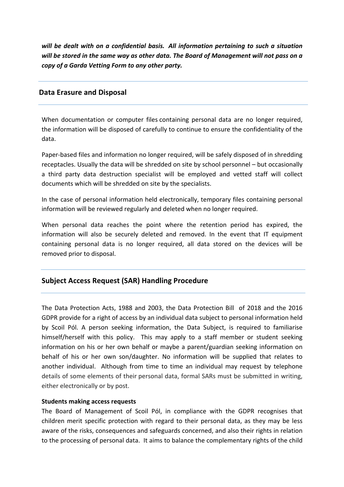*will* be dealt with on a confidential basis. All information pertaining to such a situation will be stored in the same way as other data. The Board of Management will not pass on a *copy* of a Garda Vetting Form to any other party.

## **Data Erasure and Disposal**

When documentation or computer files containing personal data are no longer required, the information will be disposed of carefully to continue to ensure the confidentiality of the data.

Paper-based files and information no longer required, will be safely disposed of in shredding receptacles. Usually the data will be shredded on site by school personnel – but occasionally a third party data destruction specialist will be employed and vetted staff will collect documents which will be shredded on site by the specialists.

In the case of personal information held electronically, temporary files containing personal information will be reviewed regularly and deleted when no longer required.

When personal data reaches the point where the retention period has expired, the information will also be securely deleted and removed. In the event that IT equipment containing personal data is no longer required, all data stored on the devices will be removed prior to disposal.

# **Subject Access Request (SAR) Handling Procedure**

The Data Protection Acts, 1988 and 2003, the Data Protection Bill of 2018 and the 2016 GDPR provide for a right of access by an individual data subject to personal information held by Scoil Pól. A person seeking information, the Data Subject, is required to familiarise himself/herself with this policy. This may apply to a staff member or student seeking information on his or her own behalf or maybe a parent/guardian seeking information on behalf of his or her own son/daughter. No information will be supplied that relates to another individual. Although from time to time an individual may request by telephone details of some elements of their personal data, formal SARs must be submitted in writing, either electronically or by post.

#### **Students making access requests**

The Board of Management of Scoil Pól, in compliance with the GDPR recognises that children merit specific protection with regard to their personal data, as they may be less aware of the risks, consequences and safeguards concerned, and also their rights in relation to the processing of personal data. It aims to balance the complementary rights of the child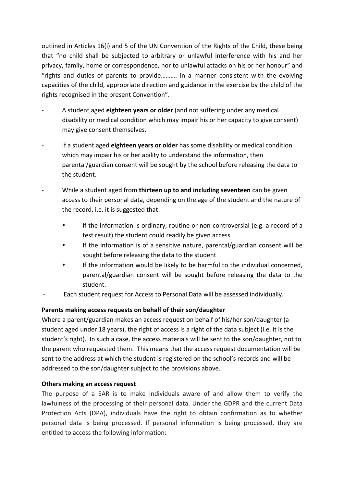outlined in Articles 16(i) and 5 of the UN Convention of the Rights of the Child, these being that "no child shall be subjected to arbitrary or unlawful interference with his and her privacy, family, home or correspondence, nor to unlawful attacks on his or her honour" and "rights and duties of parents to provide.......... in a manner consistent with the evolving capacities of the child, appropriate direction and guidance in the exercise by the child of the rights recognised in the present Convention".

- A student aged eighteen years or older (and not suffering under any medical disability or medical condition which may impair his or her capacity to give consent) may give consent themselves.
- If a student aged **eighteen years or older** has some disability or medical condition which may impair his or her ability to understand the information, then parental/guardian consent will be sought by the school before releasing the data to the student.
- While a student aged from **thirteen up to and including seventeen** can be given access to their personal data, depending on the age of the student and the nature of the record, i.e. it is suggested that:
	- If the information is ordinary, routine or non-controversial (e.g. a record of a test result) the student could readily be given access
	- If the information is of a sensitive nature, parental/guardian consent will be sought before releasing the data to the student
	- If the information would be likely to be harmful to the individual concerned, parental/guardian consent will be sought before releasing the data to the student.
- Each student request for Access to Personal Data will be assessed individually.

# Parents making access requests on behalf of their son/daughter

Where a parent/guardian makes an access request on behalf of his/her son/daughter (a student aged under 18 years), the right of access is a right of the data subject (i.e. it is the student's right). In such a case, the access materials will be sent to the son/daughter, not to the parent who requested them. This means that the access request documentation will be sent to the address at which the student is registered on the school's records and will be addressed to the son/daughter subject to the provisions above.

## **Others making an access request**

The purpose of a SAR is to make individuals aware of and allow them to verify the lawfulness of the processing of their personal data. Under the GDPR and the current Data Protection Acts (DPA), individuals have the right to obtain confirmation as to whether personal data is being processed. If personal information is being processed, they are entitled to access the following information: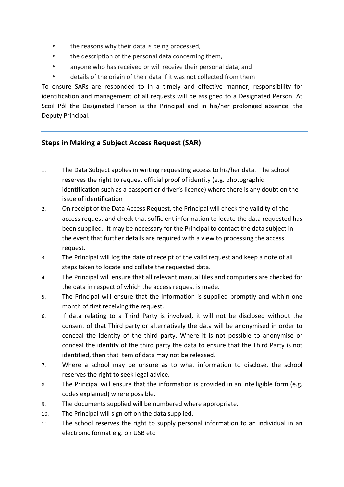- the reasons why their data is being processed,
- the description of the personal data concerning them,
- anyone who has received or will receive their personal data, and
- details of the origin of their data if it was not collected from them

To ensure SARs are responded to in a timely and effective manner, responsibility for identification and management of all requests will be assigned to a Designated Person. At Scoil Pól the Designated Person is the Principal and in his/her prolonged absence, the Deputy Principal.

# **Steps in Making a Subject Access Request (SAR)**

- 1. The Data Subject applies in writing requesting access to his/her data. The school reserves the right to request official proof of identity (e.g. photographic identification such as a passport or driver's licence) where there is any doubt on the issue of identification
- 2. On receipt of the Data Access Request, the Principal will check the validity of the access request and check that sufficient information to locate the data requested has been supplied. It may be necessary for the Principal to contact the data subject in the event that further details are required with a view to processing the access request.
- 3. The Principal will log the date of receipt of the valid request and keep a note of all steps taken to locate and collate the requested data.
- 4. The Principal will ensure that all relevant manual files and computers are checked for the data in respect of which the access request is made.
- 5. The Principal will ensure that the information is supplied promptly and within one month of first receiving the request.
- 6. If data relating to a Third Party is involved, it will not be disclosed without the consent of that Third party or alternatively the data will be anonymised in order to conceal the identity of the third party. Where it is not possible to anonymise or conceal the identity of the third party the data to ensure that the Third Party is not identified, then that item of data may not be released.
- 7. Where a school may be unsure as to what information to disclose, the school reserves the right to seek legal advice.
- 8. The Principal will ensure that the information is provided in an intelligible form (e.g. codes explained) where possible.
- 9. The documents supplied will be numbered where appropriate.
- 10. The Principal will sign off on the data supplied.
- 11. The school reserves the right to supply personal information to an individual in an electronic format e.g. on USB etc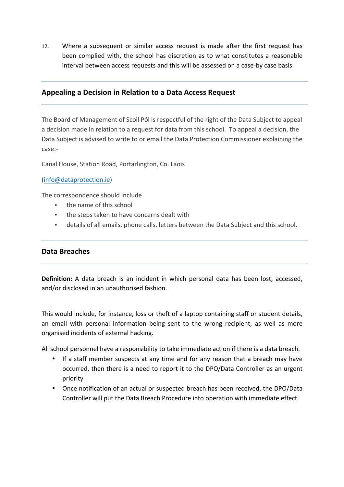12. Where a subsequent or similar access request is made after the first request has been complied with, the school has discretion as to what constitutes a reasonable interval between access requests and this will be assessed on a case-by case basis.

# Appealing a Decision in Relation to a Data Access Request

The Board of Management of Scoil Pól is respectful of the right of the Data Subject to appeal a decision made in relation to a request for data from this school. To appeal a decision, the Data Subject is advised to write to or email the Data Protection Commissioner explaining the case:-

Canal House, Station Road, Portarlington, Co. Laois

(info@dataprotection.ie)

The correspondence should include

- the name of this school
- the steps taken to have concerns dealt with
- details of all emails, phone calls, letters between the Data Subject and this school.

## **Data Breaches**

**Definition:** A data breach is an incident in which personal data has been lost, accessed, and/or disclosed in an unauthorised fashion.

This would include, for instance, loss or theft of a laptop containing staff or student details, an email with personal information being sent to the wrong recipient, as well as more organised incidents of external hacking.

All school personnel have a responsibility to take immediate action if there is a data breach.

- If a staff member suspects at any time and for any reason that a breach may have occurred, then there is a need to report it to the DPO/Data Controller as an urgent priority
- Once notification of an actual or suspected breach has been received, the DPO/Data Controller will put the Data Breach Procedure into operation with immediate effect.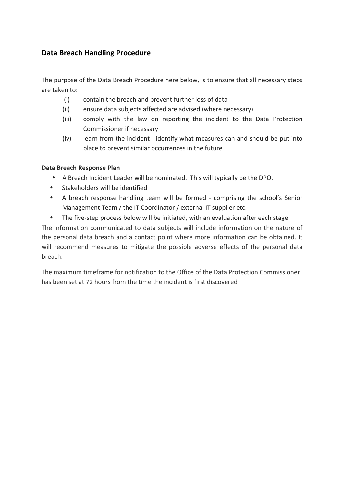# **Data Breach Handling Procedure**

The purpose of the Data Breach Procedure here below, is to ensure that all necessary steps are taken to:

- (i) contain the breach and prevent further loss of data
- (ii) ensure data subjects affected are advised (where necessary)
- (iii) comply with the law on reporting the incident to the Data Protection Commissioner if necessary
- (iv) learn from the incident identify what measures can and should be put into place to prevent similar occurrences in the future

## **Data Breach Response Plan**

- A Breach Incident Leader will be nominated. This will typically be the DPO.
- Stakeholders will be identified
- A breach response handling team will be formed comprising the school's Senior Management Team / the IT Coordinator / external IT supplier etc.
- The five-step process below will be initiated, with an evaluation after each stage

The information communicated to data subjects will include information on the nature of the personal data breach and a contact point where more information can be obtained. It will recommend measures to mitigate the possible adverse effects of the personal data breach.

The maximum timeframe for notification to the Office of the Data Protection Commissioner has been set at 72 hours from the time the incident is first discovered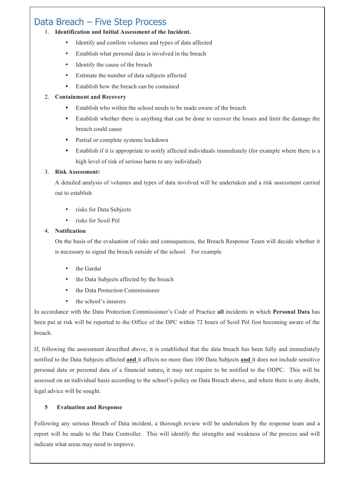# Data Breach – Five Step Process

#### 1. **Identification and Initial Assessment of the Incident.**

- Identify and confirm volumes and types of data affected
- Establish what personal data is involved in the breach
- Identify the cause of the breach
- Estimate the number of data subjects affected
- Establish how the breach can be contained

#### 2. **Containment and Recovery**

- Establish who within the school needs to be made aware of the breach
- Establish whether there is anything that can be done to recover the losses and limit the damage the breach could cause
- Partial or complete systems lockdown
- Establish if it is appropriate to notify affected individuals immediately (for example where there is a high level of risk of serious harm to any individual)

#### 3. **Risk Assessment:**

A detailed analysis of volumes and types of data involved will be undertaken and a risk assessment carried out to establish

- risks for Data Subjects
- risks for Scoil Pól

#### 4. **Notification**

On the basis of the evaluation of risks and consequences, the Breach Response Team will decide whether it is necessary to signal the breach outside of the school. For example

- the Gardaí
- the Data Subjects affected by the breach
- the Data Protection Commissioner
- the school's insurers

In accordance with the Data Protection Commissioner's Code of Practice **all** incidents in which **Personal Data** has been put at risk will be reported to the Office of the DPC within 72 hours of Scoil Pól first becoming aware of the breach.

If, following the assessment described above, it is established that the data breach has been fully and immediately notified to the Data Subjects affected **and** it affects no more than 100 Data Subjects **and** it does not include sensitive personal data or personal data of a financial nature**,** it may not require to be notified to the ODPC. This will be assessed on an individual basis according to the school's policy on Data Breach above, and where there is any doubt, legal advice will be sought.

#### **5 Evaluation and Response**

Following any serious Breach of Data incident, a thorough review will be undertaken by the response team and a report will be made to the Data Controller. This will identify the strengths and weakness of the process and will indicate what areas may need to improve.